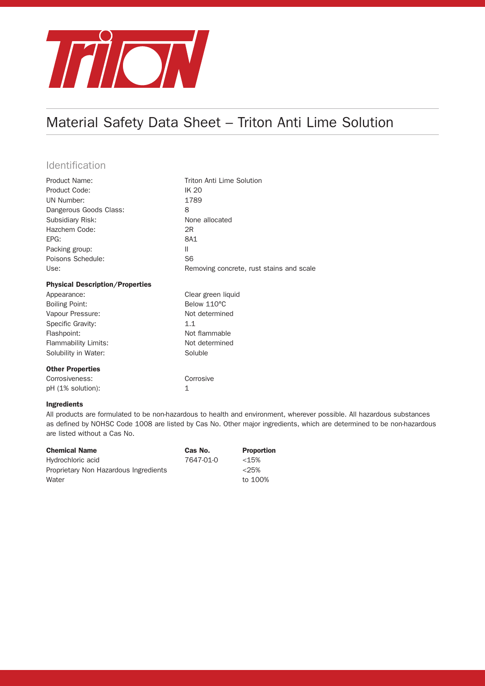

# Material Safety Data Sheet – Triton Anti Lime Solution

### **Identification**

| Product Name:                          | Triton Anti Lime Solution                |
|----------------------------------------|------------------------------------------|
| Product Code:                          | <b>IK 20</b>                             |
| UN Number:                             | 1789                                     |
| Dangerous Goods Class:                 | 8                                        |
| Subsidiary Risk:                       | None allocated                           |
| Hazchem Code:                          | 2R                                       |
| EPG:                                   | 8A1                                      |
| Packing group:                         | Ш                                        |
| Poisons Schedule:                      | S <sub>6</sub>                           |
| Use:                                   | Removing concrete, rust stains and scale |
| <b>Physical Description/Properties</b> |                                          |
| Appearance:                            | Clear green liquid                       |
| <b>Boiling Point:</b>                  | Below 110°C                              |
| Vapour Pressure:                       | Not determined                           |
|                                        |                                          |
| Specific Gravity:                      | 1.1                                      |
| Flashpoint:                            | Not flammable                            |
| Flammability Limits:                   | Not determined                           |
| Solubility in Water:                   | Soluble                                  |
| <b>Other Properties</b>                |                                          |
| Corrosiveness:                         | Corrosive                                |

#### Ingredients

All products are formulated to be non-hazardous to health and environment, wherever possible. All hazardous substances as defined by NOHSC Code 1008 are listed by Cas No. Other major ingredients, which are determined to be non-hazardous are listed without a Cas No.

| <b>Chemical Name</b>                  | Cas No.   | <b>Proportion</b> |
|---------------------------------------|-----------|-------------------|
| Hydrochloric acid                     | 7647-01-0 | $<$ 15%           |
| Proprietary Non Hazardous Ingredients |           | $<$ 25%           |
| Water                                 |           | to 100%           |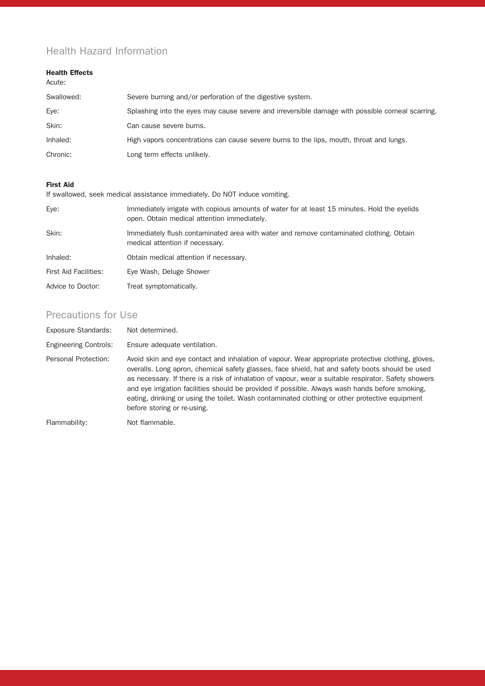## Health Hazard Information

#### Health Effects

| Acute:     |                                                                                                  |
|------------|--------------------------------------------------------------------------------------------------|
| Swallowed: | Severe burning and/or perforation of the digestive system.                                       |
| Eye:       | Splashing into the eyes may cause severe and irreversible damage with possible corneal scarring. |
| Skin:      | Can cause severe burns.                                                                          |
| Inhaled:   | High vapors concentrations can cause severe burns to the lips, mouth, throat and lungs.          |
| Chronic:   | Long term effects unlikely.                                                                      |

#### First Aid

If swallowed, seek medical assistance immediately. Do NOT induce vomiting.

| Eye:                         | Immediately irrigate with copious amounts of water for at least 15 minutes. Hold the eyelids<br>open. Obtain medical attention immediately. |
|------------------------------|---------------------------------------------------------------------------------------------------------------------------------------------|
| Skin:                        | Immediately flush contaminated area with water and remove contaminated clothing. Obtain<br>medical attention if necessary.                  |
| Inhaled:                     | Obtain medical attention if necessary.                                                                                                      |
| <b>First Aid Facilities:</b> | Eye Wash, Deluge Shower                                                                                                                     |
| Advice to Doctor:            | Treat symptomatically.                                                                                                                      |

## Precautions for Use

| Exposure Standards:          | Not determined.                                                                                                                                                                                                                                                                                                                                                                                                                                                                                                                                   |
|------------------------------|---------------------------------------------------------------------------------------------------------------------------------------------------------------------------------------------------------------------------------------------------------------------------------------------------------------------------------------------------------------------------------------------------------------------------------------------------------------------------------------------------------------------------------------------------|
| <b>Engineering Controls:</b> | Ensure adequate ventilation.                                                                                                                                                                                                                                                                                                                                                                                                                                                                                                                      |
| Personal Protection:         | Avoid skin and eye contact and inhalation of vapour. Wear appropriate protective clothing, gloves,<br>overalls. Long apron, chemical safety glasses, face shield, hat and safety boots should be used<br>as necessary. If there is a risk of inhalation of vapour, wear a suitable respirator. Safety showers<br>and eye irrigation facilities should be provided if possible. Always wash hands before smoking,<br>eating, drinking or using the toilet. Wash contaminated clothing or other protective equipment<br>before storing or re-using. |
| The secretary to History of  | داماد مدمده المسلم                                                                                                                                                                                                                                                                                                                                                                                                                                                                                                                                |

Flammability: Not flammable.